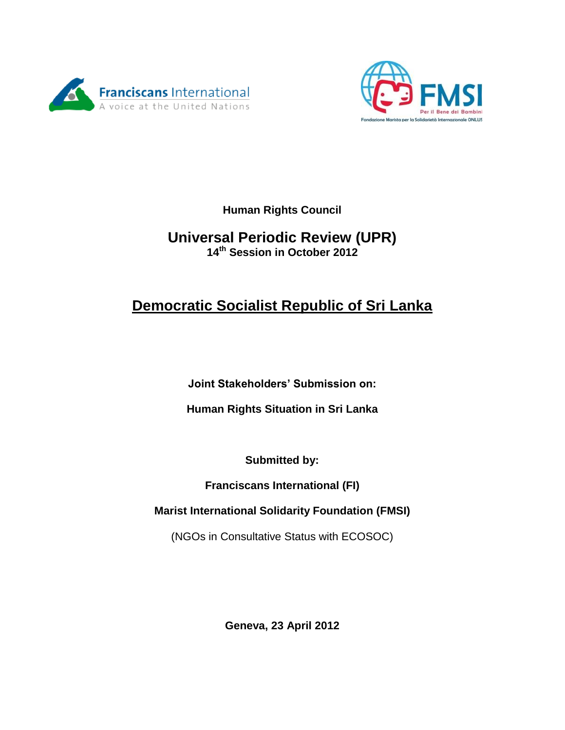



**Human Rights Council**

**Universal Periodic Review (UPR) 14th Session in October 2012**

# **Democratic Socialist Republic of Sri Lanka**

**Joint Stakeholders' Submission on:**

**Human Rights Situation in Sri Lanka**

**Submitted by:**

**Franciscans International (FI)**

**Marist International Solidarity Foundation (FMSI)**

(NGOs in Consultative Status with ECOSOC)

**Geneva, 23 April 2012**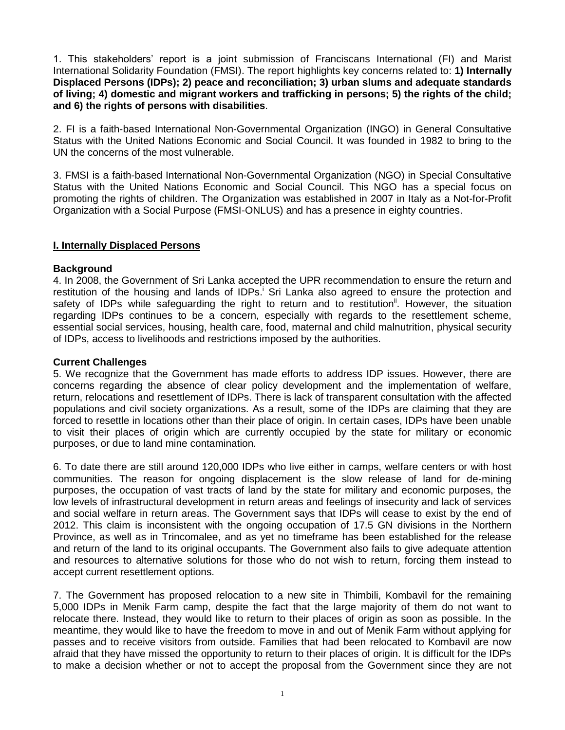1. This stakeholders" report is a joint submission of Franciscans International (FI) and Marist International Solidarity Foundation (FMSI). The report highlights key concerns related to: **1) Internally Displaced Persons (IDPs); 2) peace and reconciliation; 3) urban slums and adequate standards of living; 4) domestic and migrant workers and trafficking in persons; 5) the rights of the child; and 6) the rights of persons with disabilities**.

2. FI is a faith-based International Non-Governmental Organization (INGO) in General Consultative Status with the United Nations Economic and Social Council. It was founded in 1982 to bring to the UN the concerns of the most vulnerable.

3. FMSI is a faith-based International Non-Governmental Organization (NGO) in Special Consultative Status with the United Nations Economic and Social Council. This NGO has a special focus on promoting the rights of children. The Organization was established in 2007 in Italy as a Not-for-Profit Organization with a Social Purpose (FMSI-ONLUS) and has a presence in eighty countries.

# **I. Internally Displaced Persons**

## **Background**

4. In 2008, the Government of Sri Lanka accepted the UPR recommendation to ensure the return and restitution of the housing and lands of IDPs.<sup>1</sup> Sri Lanka also agreed to ensure the protection and safety of IDPs while safeguarding the right to return and to restitution<sup>i</sup>. However, the situation regarding IDPs continues to be a concern, especially with regards to the resettlement scheme, essential social services, housing, health care, food, maternal and child malnutrition, physical security of IDPs, access to livelihoods and restrictions imposed by the authorities.

# **Current Challenges**

5. We recognize that the Government has made efforts to address IDP issues. However, there are concerns regarding the absence of clear policy development and the implementation of welfare, return, relocations and resettlement of IDPs. There is lack of transparent consultation with the affected populations and civil society organizations. As a result, some of the IDPs are claiming that they are forced to resettle in locations other than their place of origin. In certain cases, IDPs have been unable to visit their places of origin which are currently occupied by the state for military or economic purposes, or due to land mine contamination.

6. To date there are still around 120,000 IDPs who live either in camps, welfare centers or with host communities. The reason for ongoing displacement is the slow release of land for de-mining purposes, the occupation of vast tracts of land by the state for military and economic purposes, the low levels of infrastructural development in return areas and feelings of insecurity and lack of services and social welfare in return areas. The Government says that IDPs will cease to exist by the end of 2012. This claim is inconsistent with the ongoing occupation of 17.5 GN divisions in the Northern Province, as well as in Trincomalee, and as yet no timeframe has been established for the release and return of the land to its original occupants. The Government also fails to give adequate attention and resources to alternative solutions for those who do not wish to return, forcing them instead to accept current resettlement options.

7. The Government has proposed relocation to a new site in Thimbili, Kombavil for the remaining 5,000 IDPs in Menik Farm camp, despite the fact that the large majority of them do not want to relocate there. Instead, they would like to return to their places of origin as soon as possible. In the meantime, they would like to have the freedom to move in and out of Menik Farm without applying for passes and to receive visitors from outside. Families that had been relocated to Kombavil are now afraid that they have missed the opportunity to return to their places of origin. It is difficult for the IDPs to make a decision whether or not to accept the proposal from the Government since they are not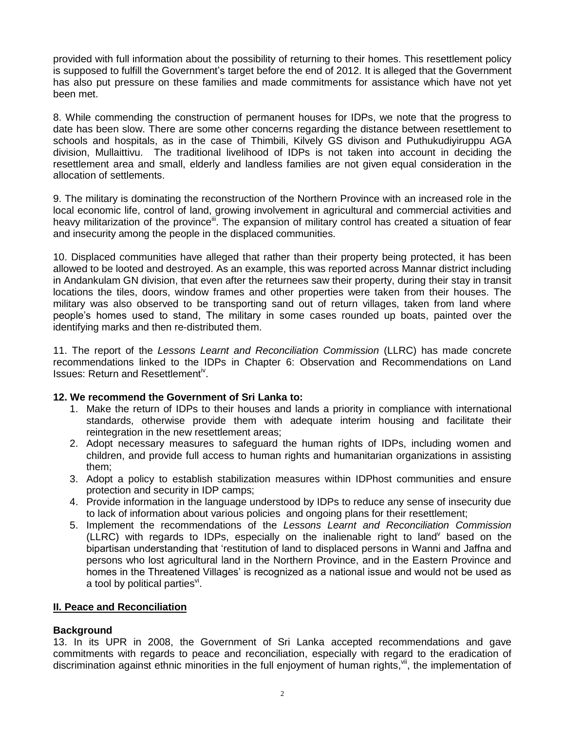provided with full information about the possibility of returning to their homes. This resettlement policy is supposed to fulfill the Government"s target before the end of 2012. It is alleged that the Government has also put pressure on these families and made commitments for assistance which have not yet been met.

8. While commending the construction of permanent houses for IDPs, we note that the progress to date has been slow. There are some other concerns regarding the distance between resettlement to schools and hospitals, as in the case of Thimbili, Kilvely GS divison and Puthukudiyiruppu AGA division, Mullaittivu. The traditional livelihood of IDPs is not taken into account in deciding the resettlement area and small, elderly and landless families are not given equal consideration in the allocation of settlements.

9. The military is dominating the reconstruction of the Northern Province with an increased role in the local economic life, control of land, growing involvement in agricultural and commercial activities and heavy militarization of the province<sup>ii"</sup>. The expansion of military control has created a situation of fear and insecurity among the people in the displaced communities.

10. Displaced communities have alleged that rather than their property being protected, it has been allowed to be looted and destroyed. As an example, this was reported across Mannar district including in Andankulam GN division, that even after the returnees saw their property, during their stay in transit locations the tiles, doors, window frames and other properties were taken from their houses. The military was also observed to be transporting sand out of return villages, taken from land where people"s homes used to stand, The military in some cases rounded up boats, painted over the identifying marks and then re-distributed them.

11. The report of the *Lessons Learnt and Reconciliation Commission* (LLRC) has made concrete recommendations linked to the IDPs in Chapter 6: Observation and Recommendations on Land Issues: Return and Resettlement<sup>iv</sup>.

# **12. We recommend the Government of Sri Lanka to:**

- 1. Make the return of IDPs to their houses and lands a priority in compliance with international standards, otherwise provide them with adequate interim housing and facilitate their reintegration in the new resettlement areas;
- 2. Adopt necessary measures to safeguard the human rights of IDPs, including women and children, and provide full access to human rights and humanitarian organizations in assisting them;
- 3. Adopt a policy to establish stabilization measures within IDPhost communities and ensure protection and security in IDP camps;
- 4. Provide information in the language understood by IDPs to reduce any sense of insecurity due to lack of information about various policies and ongoing plans for their resettlement;
- 5. Implement the recommendations of the *Lessons Learnt and Reconciliation Commission*  $(LIRC)$  with regards to IDPs, especially on the inalienable right to land based on the bipartisan understanding that "restitution of land to displaced persons in Wanni and Jaffna and persons who lost agricultural land in the Northern Province, and in the Eastern Province and homes in the Threatened Villages' is recognized as a national issue and would not be used as a tool by political parties<sup>vi</sup>.

## **II. Peace and Reconciliation**

# **Background**

13. In its UPR in 2008, the Government of Sri Lanka accepted recommendations and gave commitments with regards to peace and reconciliation, especially with regard to the eradication of discrimination against ethnic minorities in the full enjoyment of human rights, it, the implementation of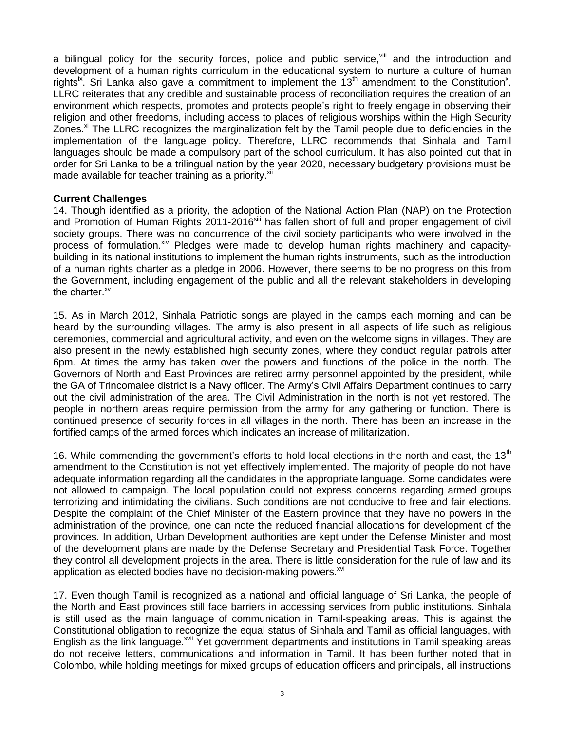a bilingual policy for the security forces, police and public service, ill and the introduction and development of a human rights curriculum in the educational system to nurture a culture of human rights<sup>ix</sup>. Sri Lanka also gave a commitment to implement the 13<sup>th</sup> amendment to the Constitution<sup>x</sup>. LLRC reiterates that any credible and sustainable process of reconciliation requires the creation of an environment which respects, promotes and protects people"s right to freely engage in observing their religion and other freedoms, including access to places of religious worships within the High Security Zones.<sup>xi</sup> The LLRC recognizes the marginalization felt by the Tamil people due to deficiencies in the implementation of the language policy. Therefore, LLRC recommends that Sinhala and Tamil languages should be made a compulsory part of the school curriculum. It has also pointed out that in order for Sri Lanka to be a trilingual nation by the year 2020, necessary budgetary provisions must be made available for teacher training as a priority.<sup>xii</sup>

# **Current Challenges**

14. Though identified as a priority, the adoption of the National Action Plan (NAP) on the Protection and Promotion of Human Rights 2011-2016<sup>xiii</sup> has fallen short of full and proper engagement of civil society groups. There was no concurrence of the civil society participants who were involved in the process of formulation. Xiv Pledges were made to develop human rights machinery and capacitybuilding in its national institutions to implement the human rights instruments, such as the introduction of a human rights charter as a pledge in 2006. However, there seems to be no progress on this from the Government, including engagement of the public and all the relevant stakeholders in developing the charter.<sup>xv</sup>

15. As in March 2012, Sinhala Patriotic songs are played in the camps each morning and can be heard by the surrounding villages. The army is also present in all aspects of life such as religious ceremonies, commercial and agricultural activity, and even on the welcome signs in villages. They are also present in the newly established high security zones, where they conduct regular patrols after 6pm. At times the army has taken over the powers and functions of the police in the north. The Governors of North and East Provinces are retired army personnel appointed by the president, while the GA of Trincomalee district is a Navy officer. The Army"s Civil Affairs Department continues to carry out the civil administration of the area. The Civil Administration in the north is not yet restored. The people in northern areas require permission from the army for any gathering or function. There is continued presence of security forces in all villages in the north. There has been an increase in the fortified camps of the armed forces which indicates an increase of militarization.

16. While commending the government's efforts to hold local elections in the north and east, the  $13<sup>th</sup>$ amendment to the Constitution is not yet effectively implemented. The majority of people do not have adequate information regarding all the candidates in the appropriate language. Some candidates were not allowed to campaign. The local population could not express concerns regarding armed groups terrorizing and intimidating the civilians. Such conditions are not conducive to free and fair elections. Despite the complaint of the Chief Minister of the Eastern province that they have no powers in the administration of the province, one can note the reduced financial allocations for development of the provinces. In addition, Urban Development authorities are kept under the Defense Minister and most of the development plans are made by the Defense Secretary and Presidential Task Force. Together they control all development projects in the area. There is little consideration for the rule of law and its application as elected bodies have no decision-making powers.<sup>XVI</sup>

17. Even though Tamil is recognized as a national and official language of Sri Lanka, the people of the North and East provinces still face barriers in accessing services from public institutions. Sinhala is still used as the main language of communication in Tamil-speaking areas. This is against the Constitutional obligation to recognize the equal status of Sinhala and Tamil as official languages, with English as the link language.<sup>xvii</sup> Yet government departments and institutions in Tamil speaking areas do not receive letters, communications and information in Tamil. It has been further noted that in Colombo, while holding meetings for mixed groups of education officers and principals, all instructions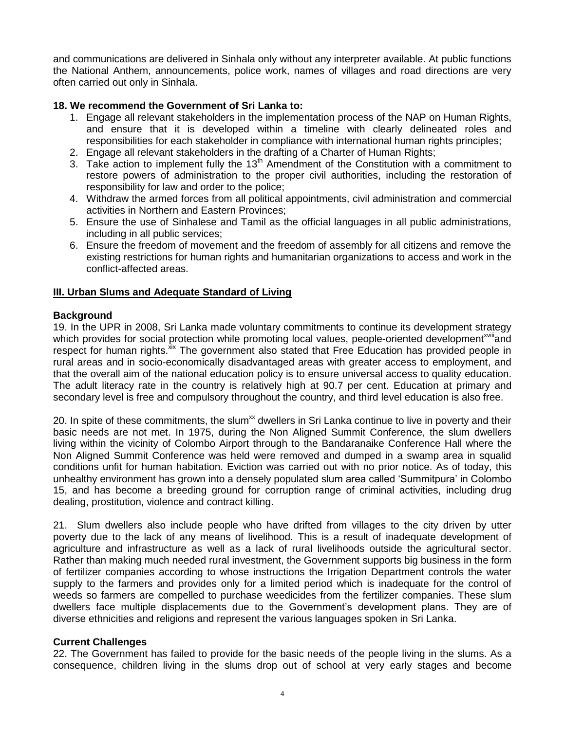and communications are delivered in Sinhala only without any interpreter available. At public functions the National Anthem, announcements, police work, names of villages and road directions are very often carried out only in Sinhala.

# **18. We recommend the Government of Sri Lanka to:**

- 1. Engage all relevant stakeholders in the implementation process of the NAP on Human Rights, and ensure that it is developed within a timeline with clearly delineated roles and responsibilities for each stakeholder in compliance with international human rights principles;
- 2. Engage all relevant stakeholders in the drafting of a Charter of Human Rights;
- 3. Take action to implement fully the  $13<sup>th</sup>$  Amendment of the Constitution with a commitment to restore powers of administration to the proper civil authorities, including the restoration of responsibility for law and order to the police;
- 4. Withdraw the armed forces from all political appointments, civil administration and commercial activities in Northern and Eastern Provinces;
- 5. Ensure the use of Sinhalese and Tamil as the official languages in all public administrations, including in all public services;
- 6. Ensure the freedom of movement and the freedom of assembly for all citizens and remove the existing restrictions for human rights and humanitarian organizations to access and work in the conflict-affected areas.

# **III. Urban Slums and Adequate Standard of Living**

## **Background**

19. In the UPR in 2008, Sri Lanka made voluntary commitments to continue its development strategy which provides for social protection while promoting local values, people-oriented development<sup>xviii</sup>and respect for human rights. Xix The government also stated that Free Education has provided people in rural areas and in socio-economically disadvantaged areas with greater access to employment, and that the overall aim of the national education policy is to ensure universal access to quality education. The adult literacy rate in the country is relatively high at 90.7 per cent. Education at primary and secondary level is free and compulsory throughout the country, and third level education is also free.

20. In spite of these commitments, the slum<sup>xx</sup> dwellers in Sri Lanka continue to live in poverty and their basic needs are not met. In 1975, during the Non Aligned Summit Conference, the slum dwellers living within the vicinity of Colombo Airport through to the Bandaranaike Conference Hall where the Non Aligned Summit Conference was held were removed and dumped in a swamp area in squalid conditions unfit for human habitation. Eviction was carried out with no prior notice. As of today, this unhealthy environment has grown into a densely populated slum area called "Summitpura" in Colombo 15, and has become a breeding ground for corruption range of criminal activities, including drug dealing, prostitution, violence and contract killing.

21. Slum dwellers also include people who have drifted from villages to the city driven by utter poverty due to the lack of any means of livelihood. This is a result of inadequate development of agriculture and infrastructure as well as a lack of rural livelihoods outside the agricultural sector. Rather than making much needed rural investment, the Government supports big business in the form of fertilizer companies according to whose instructions the Irrigation Department controls the water supply to the farmers and provides only for a limited period which is inadequate for the control of weeds so farmers are compelled to purchase weedicides from the fertilizer companies. These slum dwellers face multiple displacements due to the Government"s development plans. They are of diverse ethnicities and religions and represent the various languages spoken in Sri Lanka.

## **Current Challenges**

22. The Government has failed to provide for the basic needs of the people living in the slums. As a consequence, children living in the slums drop out of school at very early stages and become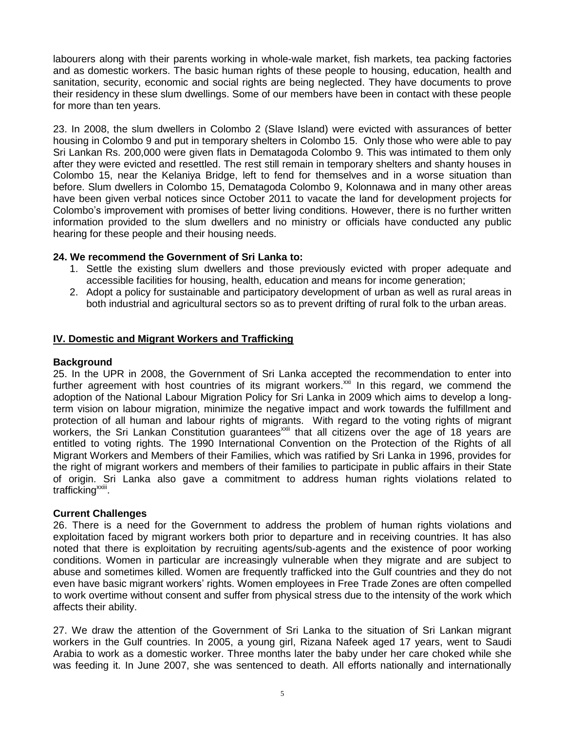labourers along with their parents working in whole-wale market, fish markets, tea packing factories and as domestic workers. The basic human rights of these people to housing, education, health and sanitation, security, economic and social rights are being neglected. They have documents to prove their residency in these slum dwellings. Some of our members have been in contact with these people for more than ten years.

23. In 2008, the slum dwellers in Colombo 2 (Slave Island) were evicted with assurances of better housing in Colombo 9 and put in temporary shelters in Colombo 15. Only those who were able to pay Sri Lankan Rs. 200,000 were given flats in Dematagoda Colombo 9. This was intimated to them only after they were evicted and resettled. The rest still remain in temporary shelters and shanty houses in Colombo 15, near the Kelaniya Bridge, left to fend for themselves and in a worse situation than before. Slum dwellers in Colombo 15, Dematagoda Colombo 9, Kolonnawa and in many other areas have been given verbal notices since October 2011 to vacate the land for development projects for Colombo"s improvement with promises of better living conditions. However, there is no further written information provided to the slum dwellers and no ministry or officials have conducted any public hearing for these people and their housing needs.

# **24. We recommend the Government of Sri Lanka to:**

- 1. Settle the existing slum dwellers and those previously evicted with proper adequate and accessible facilities for housing, health, education and means for income generation;
- 2. Adopt a policy for sustainable and participatory development of urban as well as rural areas in both industrial and agricultural sectors so as to prevent drifting of rural folk to the urban areas.

# **IV. Domestic and Migrant Workers and Trafficking**

#### **Background**

25. In the UPR in 2008, the Government of Sri Lanka accepted the recommendation to enter into further agreement with host countries of its migrant workers.<sup>xxi</sup> In this regard, we commend the adoption of the National Labour Migration Policy for Sri Lanka in 2009 which aims to develop a longterm vision on labour migration, minimize the negative impact and work towards the fulfillment and protection of all human and labour rights of migrants. With regard to the voting rights of migrant workers, the Sri Lankan Constitution quarantees<sup>xxii</sup> that all citizens over the age of 18 years are entitled to voting rights. The 1990 International Convention on the Protection of the Rights of all Migrant Workers and Members of their Families, which was ratified by Sri Lanka in 1996, provides for the right of migrant workers and members of their families to participate in public affairs in their State of origin. Sri Lanka also gave a commitment to address human rights violations related to trafficking<sup>xxiii</sup>.

## **Current Challenges**

26. There is a need for the Government to address the problem of human rights violations and exploitation faced by migrant workers both prior to departure and in receiving countries. It has also noted that there is exploitation by recruiting agents/sub-agents and the existence of poor working conditions. Women in particular are increasingly vulnerable when they migrate and are subject to abuse and sometimes killed. Women are frequently trafficked into the Gulf countries and they do not even have basic migrant workers" rights. Women employees in Free Trade Zones are often compelled to work overtime without consent and suffer from physical stress due to the intensity of the work which affects their ability.

27. We draw the attention of the Government of Sri Lanka to the situation of Sri Lankan migrant workers in the Gulf countries. In 2005, a young girl, Rizana Nafeek aged 17 years, went to Saudi Arabia to work as a domestic worker. Three months later the baby under her care choked while she was feeding it. In June 2007, she was sentenced to death. All efforts nationally and internationally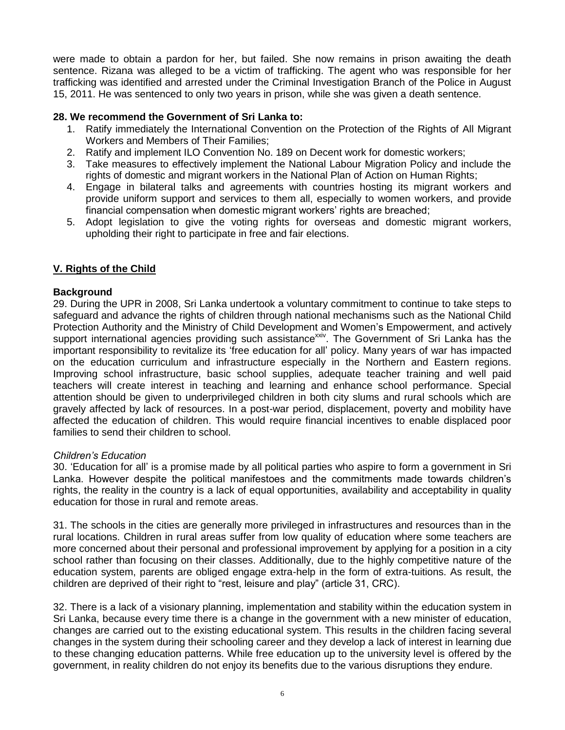were made to obtain a pardon for her, but failed. She now remains in prison awaiting the death sentence. Rizana was alleged to be a victim of trafficking. The agent who was responsible for her trafficking was identified and arrested under the Criminal Investigation Branch of the Police in August 15, 2011. He was sentenced to only two years in prison, while she was given a death sentence.

# **28. We recommend the Government of Sri Lanka to:**

- 1. Ratify immediately the International Convention on the Protection of the Rights of All Migrant Workers and Members of Their Families;
- 2. Ratify and implement ILO Convention No. 189 on Decent work for domestic workers;
- 3. Take measures to effectively implement the National Labour Migration Policy and include the rights of domestic and migrant workers in the National Plan of Action on Human Rights;
- 4. Engage in bilateral talks and agreements with countries hosting its migrant workers and provide uniform support and services to them all, especially to women workers, and provide financial compensation when domestic migrant workers' rights are breached;
- 5. Adopt legislation to give the voting rights for overseas and domestic migrant workers, upholding their right to participate in free and fair elections.

# **V. Rights of the Child**

# **Background**

29. During the UPR in 2008, Sri Lanka undertook a voluntary commitment to continue to take steps to safeguard and advance the rights of children through national mechanisms such as the National Child Protection Authority and the Ministry of Child Development and Women"s Empowerment, and actively support international agencies providing such assistance<sup>xxiv</sup>. The Government of Sri Lanka has the important responsibility to revitalize its "free education for all" policy. Many years of war has impacted on the education curriculum and infrastructure especially in the Northern and Eastern regions. Improving school infrastructure, basic school supplies, adequate teacher training and well paid teachers will create interest in teaching and learning and enhance school performance. Special attention should be given to underprivileged children in both city slums and rural schools which are gravely affected by lack of resources. In a post-war period, displacement, poverty and mobility have affected the education of children. This would require financial incentives to enable displaced poor families to send their children to school.

# *Children's Education*

30. "Education for all" is a promise made by all political parties who aspire to form a government in Sri Lanka. However despite the political manifestoes and the commitments made towards children"s rights, the reality in the country is a lack of equal opportunities, availability and acceptability in quality education for those in rural and remote areas.

31. The schools in the cities are generally more privileged in infrastructures and resources than in the rural locations. Children in rural areas suffer from low quality of education where some teachers are more concerned about their personal and professional improvement by applying for a position in a city school rather than focusing on their classes. Additionally, due to the highly competitive nature of the education system, parents are obliged engage extra-help in the form of extra-tuitions. As result, the children are deprived of their right to "rest, leisure and play" (article 31, CRC).

32. There is a lack of a visionary planning, implementation and stability within the education system in Sri Lanka, because every time there is a change in the government with a new minister of education, changes are carried out to the existing educational system. This results in the children facing several changes in the system during their schooling career and they develop a lack of interest in learning due to these changing education patterns. While free education up to the university level is offered by the government, in reality children do not enjoy its benefits due to the various disruptions they endure.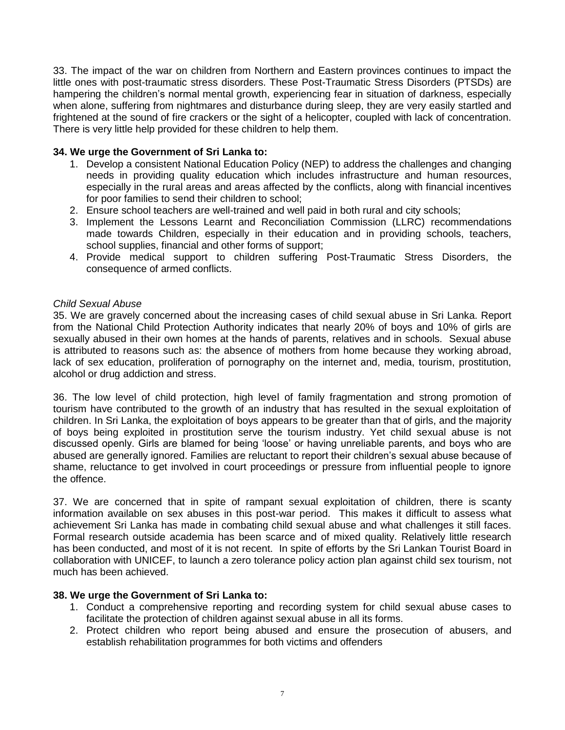33. The impact of the war on children from Northern and Eastern provinces continues to impact the little ones with post-traumatic stress disorders. These Post-Traumatic Stress Disorders (PTSDs) are hampering the children"s normal mental growth, experiencing fear in situation of darkness, especially when alone, suffering from nightmares and disturbance during sleep, they are very easily startled and frightened at the sound of fire crackers or the sight of a helicopter, coupled with lack of concentration. There is very little help provided for these children to help them.

# **34. We urge the Government of Sri Lanka to:**

- 1. Develop a consistent National Education Policy (NEP) to address the challenges and changing needs in providing quality education which includes infrastructure and human resources, especially in the rural areas and areas affected by the conflicts, along with financial incentives for poor families to send their children to school;
- 2. Ensure school teachers are well-trained and well paid in both rural and city schools;
- 3. Implement the Lessons Learnt and Reconciliation Commission (LLRC) recommendations made towards Children, especially in their education and in providing schools, teachers, school supplies, financial and other forms of support;
- 4. Provide medical support to children suffering Post-Traumatic Stress Disorders, the consequence of armed conflicts.

# *Child Sexual Abuse*

35. We are gravely concerned about the increasing cases of child sexual abuse in Sri Lanka. Report from the National Child Protection Authority indicates that nearly 20% of boys and 10% of girls are sexually abused in their own homes at the hands of parents, relatives and in schools. Sexual abuse is attributed to reasons such as: the absence of mothers from home because they working abroad, lack of sex education, proliferation of pornography on the internet and, media, tourism, prostitution, alcohol or drug addiction and stress.

36. The low level of child protection, high level of family fragmentation and strong promotion of tourism have contributed to the growth of an industry that has resulted in the sexual exploitation of children. In Sri Lanka, the exploitation of boys appears to be greater than that of girls, and the majority of boys being exploited in prostitution serve the tourism industry. Yet child sexual abuse is not discussed openly. Girls are blamed for being "loose" or having unreliable parents, and boys who are abused are generally ignored. Families are reluctant to report their children"s sexual abuse because of shame, reluctance to get involved in court proceedings or pressure from influential people to ignore the offence.

37. We are concerned that in spite of rampant sexual exploitation of children, there is scanty information available on sex abuses in this post-war period. This makes it difficult to assess what achievement Sri Lanka has made in combating child sexual abuse and what challenges it still faces. Formal research outside academia has been scarce and of mixed quality. Relatively little research has been conducted, and most of it is not recent. In spite of efforts by the Sri Lankan Tourist Board in collaboration with UNICEF, to launch a zero tolerance policy action plan against child sex tourism, not much has been achieved.

## **38. We urge the Government of Sri Lanka to:**

- 1. Conduct a comprehensive reporting and recording system for child sexual abuse cases to facilitate the protection of children against sexual abuse in all its forms.
- 2. Protect children who report being abused and ensure the prosecution of abusers, and establish rehabilitation programmes for both victims and offenders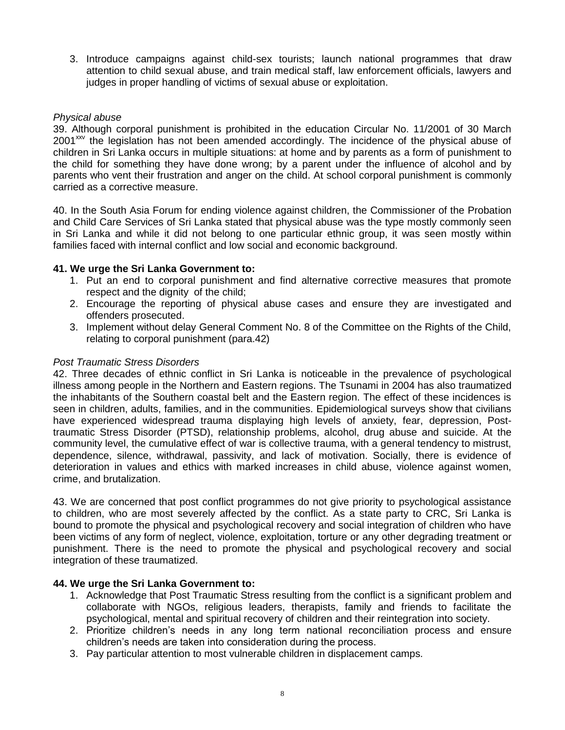3. Introduce campaigns against child-sex tourists; launch national programmes that draw attention to child sexual abuse, and train medical staff, law enforcement officials, lawyers and judges in proper handling of victims of sexual abuse or exploitation.

# *Physical abuse*

39. Although corporal punishment is prohibited in the education Circular No. 11/2001 of 30 March 2001<sup>xxv</sup> the legislation has not been amended accordingly. The incidence of the physical abuse of children in Sri Lanka occurs in multiple situations: at home and by parents as a form of punishment to the child for something they have done wrong; by a parent under the influence of alcohol and by parents who vent their frustration and anger on the child. At school corporal punishment is commonly carried as a corrective measure.

40. In the South Asia Forum for ending violence against children, the Commissioner of the Probation and Child Care Services of Sri Lanka stated that physical abuse was the type mostly commonly seen in Sri Lanka and while it did not belong to one particular ethnic group, it was seen mostly within families faced with internal conflict and low social and economic background.

# **41. We urge the Sri Lanka Government to:**

- 1. Put an end to corporal punishment and find alternative corrective measures that promote respect and the dignity of the child;
- 2. Encourage the reporting of physical abuse cases and ensure they are investigated and offenders prosecuted.
- 3. Implement without delay General Comment No. 8 of the Committee on the Rights of the Child, relating to corporal punishment (para.42)

## *Post Traumatic Stress Disorders*

42. Three decades of ethnic conflict in Sri Lanka is noticeable in the prevalence of psychological illness among people in the Northern and Eastern regions. The Tsunami in 2004 has also traumatized the inhabitants of the Southern coastal belt and the Eastern region. The effect of these incidences is seen in children, adults, families, and in the communities. Epidemiological surveys show that civilians have experienced widespread trauma displaying high levels of anxiety, fear, depression, Posttraumatic Stress Disorder (PTSD), relationship problems, alcohol, drug abuse and suicide. At the community level, the cumulative effect of war is collective trauma, with a general tendency to mistrust, dependence, silence, withdrawal, passivity, and lack of motivation. Socially, there is evidence of deterioration in values and ethics with marked increases in child abuse, violence against women, crime, and brutalization.

43. We are concerned that post conflict programmes do not give priority to psychological assistance to children, who are most severely affected by the conflict. As a state party to CRC, Sri Lanka is bound to promote the physical and psychological recovery and social integration of children who have been victims of any form of neglect, violence, exploitation, torture or any other degrading treatment or punishment. There is the need to promote the physical and psychological recovery and social integration of these traumatized.

# **44. We urge the Sri Lanka Government to:**

- 1. Acknowledge that Post Traumatic Stress resulting from the conflict is a significant problem and collaborate with NGOs, religious leaders, therapists, family and friends to facilitate the psychological, mental and spiritual recovery of children and their reintegration into society.
- 2. Prioritize children"s needs in any long term national reconciliation process and ensure children"s needs are taken into consideration during the process.
- 3. Pay particular attention to most vulnerable children in displacement camps.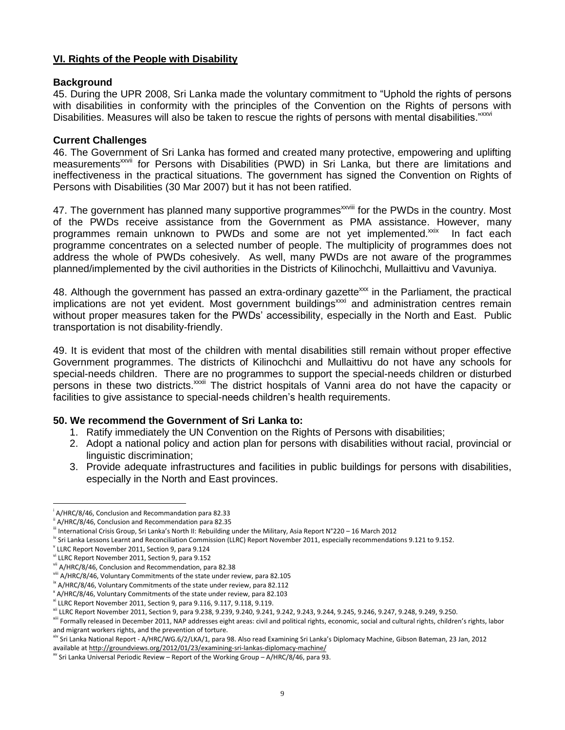# **VI. Rights of the People with Disability**

# **Background**

45. During the UPR 2008, Sri Lanka made the voluntary commitment to "Uphold the rights of persons with disabilities in conformity with the principles of the Convention on the Rights of persons with Disabilities. Measures will also be taken to rescue the rights of persons with mental disabilities."xxvi

# **Current Challenges**

46. The Government of Sri Lanka has formed and created many protective, empowering and uplifting measurementsxxvii for Persons with Disabilities (PWD) in Sri Lanka, but there are limitations and ineffectiveness in the practical situations. The government has signed the Convention on Rights of Persons with Disabilities (30 Mar 2007) but it has not been ratified.

47. The government has planned many supportive programmes<sup>xxviii</sup> for the PWDs in the country. Most of the PWDs receive assistance from the Government as PMA assistance. However, many programmes remain unknown to PWDs and some are not yet implemented.<sup>xxix</sup> In fact each programme concentrates on a selected number of people. The multiplicity of programmes does not address the whole of PWDs cohesively. As well, many PWDs are not aware of the programmes planned/implemented by the civil authorities in the Districts of Kilinochchi, Mullaittivu and Vavuniya.

48. Although the government has passed an extra-ordinary gazette<sup>xx</sup> in the Parliament, the practical implications are not yet evident. Most government buildings<sup>xxxi</sup> and administration centres remain without proper measures taken for the PWDs' accessibility, especially in the North and East. Public transportation is not disability-friendly.

49. It is evident that most of the children with mental disabilities still remain without proper effective Government programmes. The districts of Kilinochchi and Mullaittivu do not have any schools for special-needs children. There are no programmes to support the special-needs children or disturbed persons in these two districts.<sup>xxxii</sup> The district hospitals of Vanni area do not have the capacity or facilities to give assistance to special-needs children's health requirements.

# **50. We recommend the Government of Sri Lanka to:**

- 1. Ratify immediately the UN Convention on the Rights of Persons with disabilities;
- 2. Adopt a national policy and action plan for persons with disabilities without racial, provincial or linguistic discrimination;
- 3. Provide adequate infrastructures and facilities in public buildings for persons with disabilities, especially in the North and East provinces.

 $\overline{a}$ 

i A/HRC/8/46, Conclusion and Recommandation para 82.33

ii A/HRC/8/46, Conclusion and Recommendation para 82.35

iii International Crisis Group, Sri Lanka's North II: Rebuilding under the Military, Asia Report N°220 – 16 March 2012

<sup>&</sup>lt;sup>iv</sup> Sri Lanka Lessons Learnt and Reconciliation Commission (LLRC) Report November 2011, especially recommendations 9.121 to 9.152.

v LLRC Report November 2011, Section 9, para 9.124

vi LLRC Report November 2011, Section 9, para 9.152

vii A/HRC/8/46, Conclusion and Recommendation, para 82.38

viii A/HRC/8/46, Voluntary Commitments of the state under review, para 82.105

 $\frac{1}{2}$  A/HRC/8/46, Voluntary Commitments of the state under review, para 82.112

 $^{\texttt{x}}$  A/HRC/8/46, Voluntary Commitments of the state under review, para 82.103

xi LLRC Report November 2011, Section 9, para 9.116, 9.117, 9.118, 9.119.

xii LLRC Report November 2011, Section 9, para 9.238, 9.239, 9.240, 9.241, 9.242, 9.243, 9.244, 9.245, 9.246, 9.247, 9.248, 9.249, 9.250.

xiii Formally released in December 2011, NAP addresses eight areas: civil and political rights, economic, social and cultural rights, children's rights, labor and migrant workers rights, and the prevention of torture.

xiv Sri Lanka National Report - A/HRC/WG.6/2/LKA/1, para 98. Also read Examining Sri Lanka's Diplomacy Machine, Gibson Bateman, 23 Jan, 2012 available a[t http://groundviews.org/2012/01/23/examining-sri-lankas-diplomacy-machine/](http://groundviews.org/2012/01/23/examining-sri-lankas-diplomacy-machine/)

 $\frac{x}{y}$  Sri Lanka Universal Periodic Review – Report of the Working Group – A/HRC/8/46, para 93.